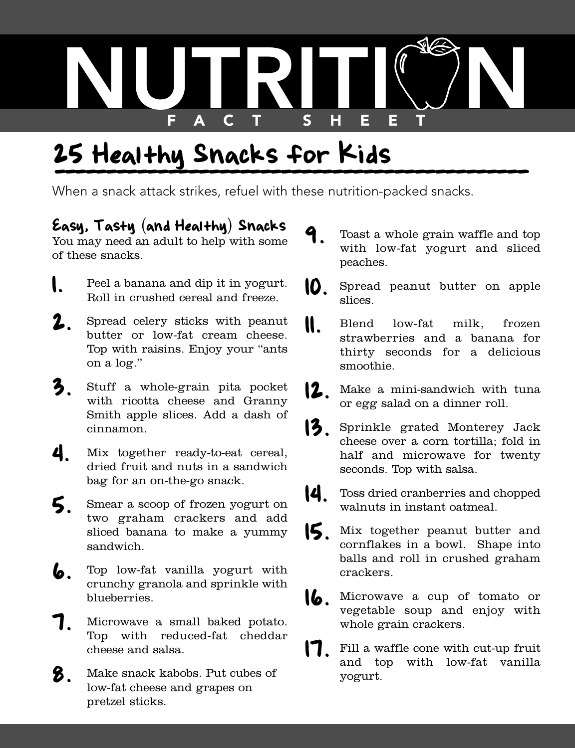

## 25 Healthy Snacks for Kids 5<br><del>\_\_\_\_\_\_\_\_\_\_\_\_\_\_\_</del>

When a snack attack strikes, refuel with these nutrition-packed snacks.

## Easy, Tasty (and Healthy) Snacks

You may need an adult to help with some of these snacks.

- **1.** Peel a banana and dip it in yogurt. Roll in crushed cereal and freeze.
- 2. Spread celery sticks with peanut butter or low-fat cream cheese. Top with raisins. Enjoy your "ants on a log."
- 3. Stuff a whole-grain pita pocket with ricotta cheese and Granny Smith apple slices. Add a dash of cinnamon.
- 4. Mix together ready-to-eat cereal, dried fruit and nuts in a sandwich bag for an on-the-go snack.
- 5. Smear <sup>a</sup> scoop of frozen yogurt on two graham crackers and add sliced banana to make a yummy sandwich.
- 6. Top low-fat vanilla yogurt with crunchy granola and sprinkle with blueberries.
- 7. Microwave <sup>a</sup> small baked potato. Top with reduced-fat cheddar cheese and salsa.
- 8. Make snack kabobs. Put cubes of low-fat cheese and grapes on pretzel sticks.
- Toast a whole grain waffle and top with low-fat yogurt and sliced peaches.
- 10. Spread peanut butter on apple slices.
- 11. Blend low-fat milk, frozen strawberries and a banana for thirty seconds for a delicious smoothie.
- Make a mini-sandwich with tuna or egg salad on a dinner roll.
- 13. Sprinkle grated Monterey Jack cheese over a corn tortilla; fold in half and microwave for twenty seconds. Top with salsa.
- 14. Toss dried cranberries and chopped walnuts in instant oatmeal.
- 15. Mix together peanut butter and cornflakes in a bowl. Shape into balls and roll in crushed graham crackers.
- 16. Microwave <sup>a</sup> cup of tomato or vegetable soup and enjoy with whole grain crackers.
- 17. Fill <sup>a</sup> waffle cone with cut-up fruit and top with low-fat vanilla yogurt.